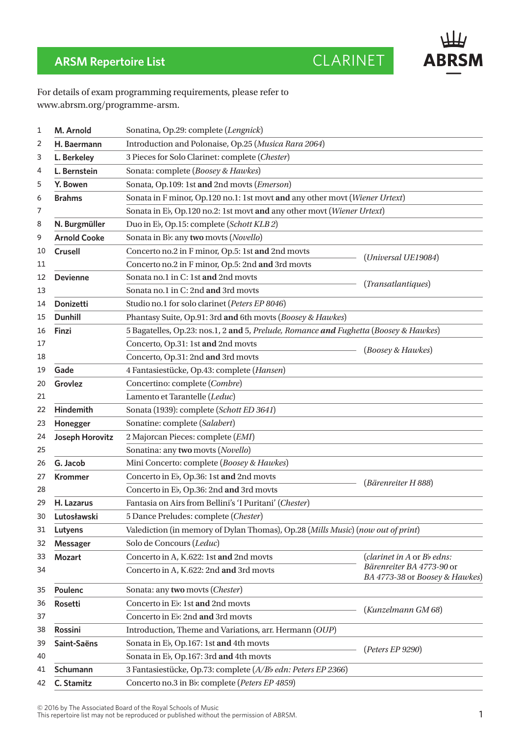

## **ARSM Repertoire List** CLARINET

For details of exam programming requirements, please refer to www.abrsm.org/programme-arsm.

| 1  | M. Arnold           | Sonatina, Op.29: complete (Lengnick)                                                 |                                                                                           |  |
|----|---------------------|--------------------------------------------------------------------------------------|-------------------------------------------------------------------------------------------|--|
| 2  | H. Baermann         | Introduction and Polonaise, Op.25 (Musica Rara 2064)                                 |                                                                                           |  |
| 3  | L. Berkeley         | 3 Pieces for Solo Clarinet: complete (Chester)                                       |                                                                                           |  |
| 4  | L. Bernstein        | Sonata: complete (Boosey & Hawkes)                                                   |                                                                                           |  |
| 5  | Y. Bowen            | Sonata, Op.109: 1st and 2nd movts (Emerson)                                          |                                                                                           |  |
| 6  | <b>Brahms</b>       | Sonata in F minor, Op.120 no.1: 1st movt and any other movt (Wiener Urtext)          |                                                                                           |  |
| 7  |                     | Sonata in Eb, Op.120 no.2: 1st movt and any other movt (Wiener Urtext)               |                                                                                           |  |
| 8  | N. Burgmüller       | Duo in E <sub>b</sub> , Op.15: complete (Schott KLB2)                                |                                                                                           |  |
| 9  | <b>Arnold Cooke</b> | Sonata in Bb: any two movts (Novello)                                                |                                                                                           |  |
| 10 | <b>Crusell</b>      | Concerto no.2 in F minor, Op.5: 1st and 2nd movts                                    |                                                                                           |  |
| 11 |                     | Concerto no.2 in F minor, Op.5: 2nd and 3rd movts                                    | (Universal UE19084)                                                                       |  |
| 12 | <b>Devienne</b>     | Sonata no.1 in C: 1st and 2nd movts                                                  | (Transatlantiques)                                                                        |  |
| 13 |                     | Sonata no.1 in C: 2nd and 3rd movts                                                  |                                                                                           |  |
| 14 | <b>Donizetti</b>    | Studio no.1 for solo clarinet (Peters EP 8046)                                       |                                                                                           |  |
| 15 | <b>Dunhill</b>      | Phantasy Suite, Op.91: 3rd and 6th movts (Boosey & Hawkes)                           |                                                                                           |  |
| 16 | Finzi               | 5 Bagatelles, Op.23: nos.1, 2 and 5, Prelude, Romance and Fughetta (Boosey & Hawkes) |                                                                                           |  |
| 17 |                     | Concerto, Op.31: 1st and 2nd movts                                                   | (Boosey & Hawkes)                                                                         |  |
| 18 |                     | Concerto, Op.31: 2nd and 3rd movts                                                   |                                                                                           |  |
| 19 | Gade                | 4 Fantasiestücke, Op.43: complete (Hansen)                                           |                                                                                           |  |
| 20 | Grovlez             | Concertino: complete (Combre)                                                        |                                                                                           |  |
| 21 |                     | Lamento et Tarantelle (Leduc)                                                        |                                                                                           |  |
| 22 | Hindemith           | Sonata (1939): complete (Schott ED 3641)                                             |                                                                                           |  |
| 23 | Honegger            | Sonatine: complete (Salabert)                                                        |                                                                                           |  |
| 24 | Joseph Horovitz     | 2 Majorcan Pieces: complete (EMI)                                                    |                                                                                           |  |
| 25 |                     | Sonatina: any two movts (Novello)                                                    |                                                                                           |  |
| 26 | G. Jacob            | Mini Concerto: complete (Boosey & Hawkes)                                            |                                                                                           |  |
| 27 | <b>Krommer</b>      | Concerto in E <sub>b</sub> , Op.36: 1st and 2nd movts                                | (Bärenreiter H 888)                                                                       |  |
| 28 |                     | Concerto in E <sub>b</sub> , Op.36: 2nd and 3rd movts                                |                                                                                           |  |
| 29 | H. Lazarus          | Fantasia on Airs from Bellini's 'I Puritani' (Chester)                               |                                                                                           |  |
| 30 | Lutosławski         | 5 Dance Preludes: complete (Chester)                                                 |                                                                                           |  |
| 31 | Lutyens             | Valediction (in memory of Dylan Thomas), Op.28 (Mills Music) (now out of print)      |                                                                                           |  |
| 32 | <b>Messager</b>     | Solo de Concours (Leduc)                                                             |                                                                                           |  |
| 33 | <b>Mozart</b>       | Concerto in A, K.622: 1st and 2nd movts                                              | (clarinet in A or Bb edns:<br>Bärenreiter BA 4773-90 or<br>BA 4773-38 or Boosey & Hawkes) |  |
| 34 |                     | Concerto in A, K.622: 2nd and 3rd movts                                              |                                                                                           |  |
| 35 | Poulenc             | Sonata: any two movts (Chester)                                                      |                                                                                           |  |
| 36 | Rosetti             | Concerto in Eb: 1st and 2nd movts                                                    | (Kunzelmann GM 68)                                                                        |  |
| 37 |                     | Concerto in Eb: 2nd and 3rd movts                                                    |                                                                                           |  |
| 38 | <b>Rossini</b>      | Introduction, Theme and Variations, arr. Hermann (OUP)                               |                                                                                           |  |
| 39 | Saint-Saëns         | Sonata in Eb, Op.167: 1st and 4th movts                                              | (Peters EP 9290)                                                                          |  |
| 40 |                     | Sonata in Eb, Op.167: 3rd and 4th movts                                              |                                                                                           |  |
| 41 | Schumann            | 3 Fantasiestücke, Op.73: complete (A/Bb edn: Peters EP 2366)                         |                                                                                           |  |
| 42 | C. Stamitz          | Concerto no.3 in Bb: complete (Peters EP 4859)                                       |                                                                                           |  |

© 2016 by The Associated Board of the Royal Schools of Music

This repertoire list may not be reproduced or published without the permission of ABRSM.